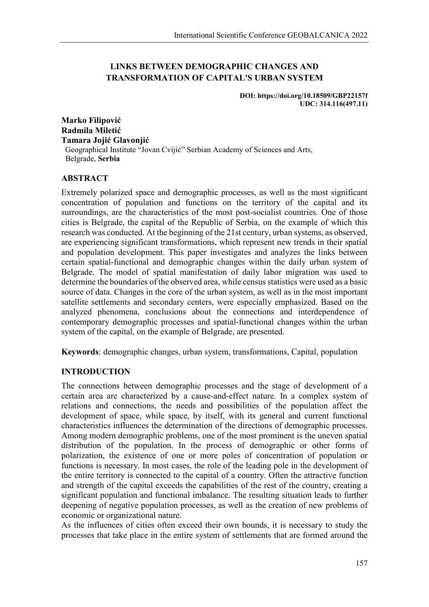# **LINKS BETWEEN DEMOGRAPHIC CHANGES AND TRANSFORMATION OF CAPITAL'S URBAN SYSTEM**

**DOI: https://doi.org/10.18509/GBP22157f UDC: 314.116(497.11)**

**Marko Filipović Radmila Miletić Tamara Jojić Glavonjić** Geographical Institute "Jovan Cvijić" Serbian Academy of Sciences and Arts, Belgrade, **Serbia**

### **ABSTRACT**

Extremely polarized space and demographic processes, as well as the most significant concentration of population and functions on the territory of the capital and its surroundings, are the characteristics of the most post-socialist countries. One of those cities is Belgrade, the capital of the Republic of Serbia, on the example of which this research was conducted. At the beginning of the 21st century, urban systems, as observed, are experiencing significant transformations, which represent new trends in their spatial and population development. This paper investigates and analyzes the links between certain spatial-functional and demographic changes within the daily urban system of Belgrade. The model of spatial manifestation of daily labor migration was used to determine the boundaries of the observed area, while census statistics were used as a basic source of data. Changes in the core of the urban system, as well as in the most important satellite settlements and secondary centers, were especially emphasized. Based on the analyzed phenomena, conclusions about the connections and interdependence of contemporary demographic processes and spatial-functional changes within the urban system of the capital, on the example of Belgrade, are presented.

**Keywords**: demographic changes, urban system, transformations, Capital, population

## **INTRODUCTION**

The connections between demographic processes and the stage of development of a certain area are characterized by a cause-and-effect nature. In a complex system of relations and connections, the needs and possibilities of the population affect the development of space, while space, by itself, with its general and current functional characteristics influences the determination of the directions of demographic processes. Among modern demographic problems, one of the most prominent is the uneven spatial distribution of the population. In the process of demographic or other forms of polarization, the existence of one or more poles of concentration of population or functions is necessary. In most cases, the role of the leading pole in the development of the entire territory is connected to the capital of a country. Often the attractive function and strength of the capital exceeds the capabilities of the rest of the country, creating a significant population and functional imbalance. The resulting situation leads to further deepening of negative population processes, as well as the creation of new problems of economic or organizational nature.

As the influences of cities often exceed their own bounds, it is necessary to study the processes that take place in the entire system of settlements that are formed around the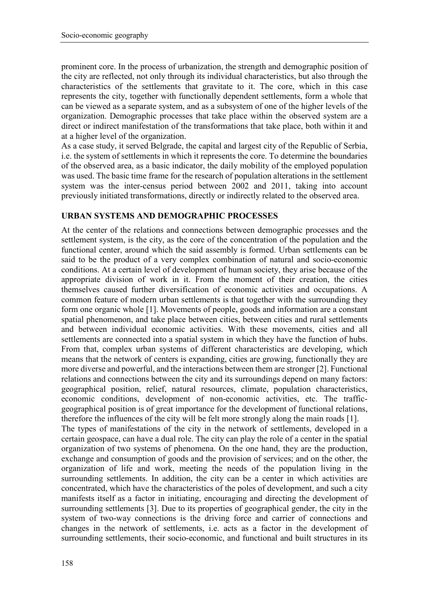prominent core. In the process of urbanization, the strength and demographic position of the city are reflected, not only through its individual characteristics, but also through the characteristics of the settlements that gravitate to it. The core, which in this case represents the city, together with functionally dependent settlements, form a whole that can be viewed as a separate system, and as a subsystem of one of the higher levels of the organization. Demographic processes that take place within the observed system are a direct or indirect manifestation of the transformations that take place, both within it and at a higher level of the organization.

As a case study, it served Belgrade, the capital and largest city of the Republic of Serbia, i.e. the system of settlements in which it represents the core. To determine the boundaries of the observed area, as a basic indicator, the daily mobility of the employed population was used. The basic time frame for the research of population alterations in the settlement system was the inter-census period between 2002 and 2011, taking into account previously initiated transformations, directly or indirectly related to the observed area.

### **URBAN SYSTEMS AND DEMOGRAPHIC PROCESSES**

At the center of the relations and connections between demographic processes and the settlement system, is the city, as the core of the concentration of the population and the functional center, around which the said assembly is formed. Urban settlements can be said to be the product of a very complex combination of natural and socio-economic conditions. At a certain level of development of human society, they arise because of the appropriate division of work in it. From the moment of their creation, the cities themselves caused further diversification of economic activities and occupations. A common feature of modern urban settlements is that together with the surrounding they form one organic whole [1]. Movements of people, goods and information are a constant spatial phenomenon, and take place between cities, between cities and rural settlements and between individual economic activities. With these movements, cities and all settlements are connected into a spatial system in which they have the function of hubs. From that, complex urban systems of different characteristics are developing, which means that the network of centers is expanding, cities are growing, functionally they are more diverse and powerful, and the interactions between them are stronger [2]. Functional relations and connections between the city and its surroundings depend on many factors: geographical position, relief, natural resources, climate, population characteristics, economic conditions, development of non-economic activities, etc. The trafficgeographical position is of great importance for the development of functional relations, therefore the influences of the city will be felt more strongly along the main roads [1]. The types of manifestations of the city in the network of settlements, developed in a certain geospace, can have a dual role. The city can play the role of a center in the spatial organization of two systems of phenomena. On the one hand, they are the production, exchange and consumption of goods and the provision of services; and on the other, the organization of life and work, meeting the needs of the population living in the surrounding settlements. In addition, the city can be a center in which activities are concentrated, which have the characteristics of the poles of development, and such a city manifests itself as a factor in initiating, encouraging and directing the development of surrounding settlements [3]. Due to its properties of geographical gender, the city in the system of two-way connections is the driving force and carrier of connections and changes in the network of settlements, i.e. acts as a factor in the development of surrounding settlements, their socio-economic, and functional and built structures in its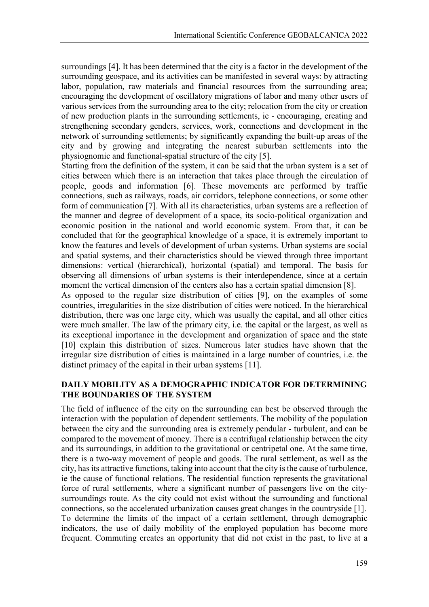surroundings [4]. It has been determined that the city is a factor in the development of the surrounding geospace, and its activities can be manifested in several ways: by attracting labor, population, raw materials and financial resources from the surrounding area; encouraging the development of oscillatory migrations of labor and many other users of various services from the surrounding area to the city; relocation from the city or creation of new production plants in the surrounding settlements, ie - encouraging, creating and strengthening secondary genders, services, work, connections and development in the network of surrounding settlements; by significantly expanding the built-up areas of the city and by growing and integrating the nearest suburban settlements into the physiognomic and functional-spatial structure of the city [5].

Starting from the definition of the system, it can be said that the urban system is a set of cities between which there is an interaction that takes place through the circulation of people, goods and information [6]. These movements are performed by traffic connections, such as railways, roads, air corridors, telephone connections, or some other form of communication [7]. With all its characteristics, urban systems are a reflection of the manner and degree of development of a space, its socio-political organization and economic position in the national and world economic system. From that, it can be concluded that for the geographical knowledge of a space, it is extremely important to know the features and levels of development of urban systems. Urban systems are social and spatial systems, and their characteristics should be viewed through three important dimensions: vertical (hierarchical), horizontal (spatial) and temporal. The basis for observing all dimensions of urban systems is their interdependence, since at a certain moment the vertical dimension of the centers also has a certain spatial dimension [8].

As opposed to the regular size distribution of cities [9], on the examples of some countries, irregularities in the size distribution of cities were noticed. In the hierarchical distribution, there was one large city, which was usually the capital, and all other cities were much smaller. The law of the primary city, i.e. the capital or the largest, as well as its exceptional importance in the development and organization of space and the state [10] explain this distribution of sizes. Numerous later studies have shown that the irregular size distribution of cities is maintained in a large number of countries, i.e. the distinct primacy of the capital in their urban systems [11].

## **DAILY MOBILITY AS A DEMOGRAPHIC INDICATOR FOR DETERMINING THE BOUNDARIES OF THE SYSTEM**

The field of influence of the city on the surrounding can best be observed through the interaction with the population of dependent settlements. The mobility of the population between the city and the surrounding area is extremely pendular - turbulent, and can be compared to the movement of money. There is a centrifugal relationship between the city and its surroundings, in addition to the gravitational or centripetal one. At the same time, there is a two-way movement of people and goods. The rural settlement, as well as the city, has its attractive functions, taking into account that the city is the cause of turbulence, ie the cause of functional relations. The residential function represents the gravitational force of rural settlements, where a significant number of passengers live on the citysurroundings route. As the city could not exist without the surrounding and functional connections, so the accelerated urbanization causes great changes in the countryside [1]. To determine the limits of the impact of a certain settlement, through demographic indicators, the use of daily mobility of the employed population has become more frequent. Commuting creates an opportunity that did not exist in the past, to live at a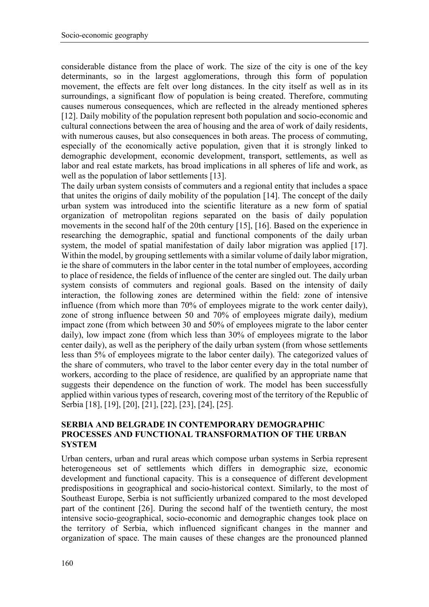considerable distance from the place of work. The size of the city is one of the key determinants, so in the largest agglomerations, through this form of population movement, the effects are felt over long distances. In the city itself as well as in its surroundings, a significant flow of population is being created. Therefore, commuting causes numerous consequences, which are reflected in the already mentioned spheres [12]. Daily mobility of the population represent both population and socio-economic and cultural connections between the area of housing and the area of work of daily residents, with numerous causes, but also consequences in both areas. The process of commuting, especially of the economically active population, given that it is strongly linked to demographic development, economic development, transport, settlements, as well as labor and real estate markets, has broad implications in all spheres of life and work, as well as the population of labor settlements [13].

The daily urban system consists of commuters and a regional entity that includes a space that unites the origins of daily mobility of the population [14]. The concept of the daily urban system was introduced into the scientific literature as a new form of spatial organization of metropolitan regions separated on the basis of daily population movements in the second half of the 20th century [15], [16]. Based on the experience in researching the demographic, spatial and functional components of the daily urban system, the model of spatial manifestation of daily labor migration was applied [17]. Within the model, by grouping settlements with a similar volume of daily labor migration, ie the share of commuters in the labor center in the total number of employees, according to place of residence, the fields of influence of the center are singled out. The daily urban system consists of commuters and regional goals. Based on the intensity of daily interaction, the following zones are determined within the field: zone of intensive influence (from which more than 70% of employees migrate to the work center daily), zone of strong influence between 50 and 70% of employees migrate daily), medium impact zone (from which between 30 and 50% of employees migrate to the labor center daily), low impact zone (from which less than 30% of employees migrate to the labor center daily), as well as the periphery of the daily urban system (from whose settlements less than 5% of employees migrate to the labor center daily). The categorized values of the share of commuters, who travel to the labor center every day in the total number of workers, according to the place of residence, are qualified by an appropriate name that suggests their dependence on the function of work. The model has been successfully applied within various types of research, covering most of the territory of the Republic of Serbia [18], [19], [20], [21], [22], [23], [24], [25].

### **SERBIA AND BELGRADE IN CONTEMPORARY DEMOGRAPHIC PROCESSES AND FUNCTIONAL TRANSFORMATION OF THE URBAN SYSTEM**

Urban centers, urban and rural areas which compose urban systems in Serbia represent heterogeneous set of settlements which differs in demographic size, economic development and functional capacity. This is a consequence of different development predispositions in geographical and socio-historical context. Similarly, to the most of Southeast Europe, Serbia is not sufficiently urbanized compared to the most developed part of the continent [26]. During the second half of the twentieth century, the most intensive socio-geographical, socio-economic and demographic changes took place on the territory of Serbia, which influenced significant changes in the manner and organization of space. The main causes of these changes are the pronounced planned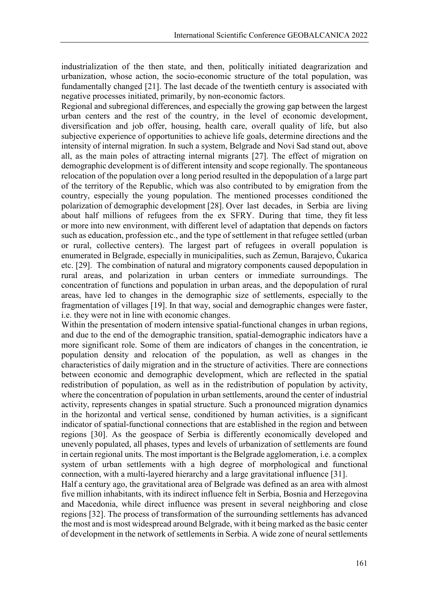industrialization of the then state, and then, politically initiated deagrarization and urbanization, whose action, the socio-economic structure of the total population, was fundamentally changed [21]. The last decade of the twentieth century is associated with negative processes initiated, primarily, by non-economic factors.

Regional and subregional differences, and especially the growing gap between the largest urban centers and the rest of the country, in the level of economic development, diversification and job offer, housing, health care, overall quality of life, but also subjective experience of opportunities to achieve life goals, determine directions and the intensity of internal migration. In such a system, Belgrade and Novi Sad stand out, above all, as the main poles of attracting internal migrants [27]. The effect of migration on demographic development is of different intensity and scope regionally. The spontaneous relocation of the population over a long period resulted in the depopulation of a large part of the territory of the Republic, which was also contributed to by emigration from the country, especially the young population. The mentioned processes conditioned the polarization of demographic development [28]. Over last decades, in Serbia are living about half millions of refugees from the ex SFRY. During that time, they fit less or more into new environment, with different level of adaptation that depends on factors such as education, profession etc., and the type of settlement in that refugee settled (urban or rural, collective centers). The largest part of refugees in overall population is enumerated in Belgrade, especially in municipalities, such as Zemun, Barajevo, Čukarica etc. [29]. The combination of natural and migratory components caused depopulation in rural areas, and polarization in urban centers or immediate surroundings. The concentration of functions and population in urban areas, and the depopulation of rural areas, have led to changes in the demographic size of settlements, especially to the fragmentation of villages [19]. In that way, social and demographic changes were faster, i.e. they were not in line with economic changes.

Within the presentation of modern intensive spatial-functional changes in urban regions, and due to the end of the demographic transition, spatial-demographic indicators have a more significant role. Some of them are indicators of changes in the concentration, ie population density and relocation of the population, as well as changes in the characteristics of daily migration and in the structure of activities. There are connections between economic and demographic development, which are reflected in the spatial redistribution of population, as well as in the redistribution of population by activity, where the concentration of population in urban settlements, around the center of industrial activity, represents changes in spatial structure. Such a pronounced migration dynamics in the horizontal and vertical sense, conditioned by human activities, is a significant indicator of spatial-functional connections that are established in the region and between regions [30]. As the geospace of Serbia is differently economically developed and unevenly populated, all phases, types and levels of urbanization of settlements are found in certain regional units. The most important is the Belgrade agglomeration, i.e. a complex system of urban settlements with a high degree of morphological and functional connection, with a multi-layered hierarchy and a large gravitational influence [31].

Half a century ago, the gravitational area of Belgrade was defined as an area with almost five million inhabitants, with its indirect influence felt in Serbia, Bosnia and Herzegovina and Macedonia, while direct influence was present in several neighboring and close regions [32]. The process of transformation of the surrounding settlements has advanced the most and is most widespread around Belgrade, with it being marked as the basic center of development in the network of settlements in Serbia. A wide zone of neural settlements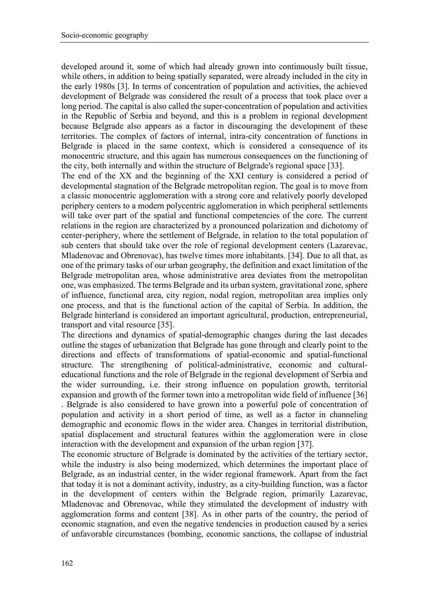developed around it, some of which had already grown into continuously built tissue, while others, in addition to being spatially separated, were already included in the city in the early 1980s [3]. In terms of concentration of population and activities, the achieved development of Belgrade was considered the result of a process that took place over a long period. The capital is also called the super-concentration of population and activities in the Republic of Serbia and beyond, and this is a problem in regional development because Belgrade also appears as a factor in discouraging the development of these territories. The complex of factors of internal, intra-city concentration of functions in Belgrade is placed in the same context, which is considered a consequence of its monocentric structure, and this again has numerous consequences on the functioning of the city, both internally and within the structure of Belgrade's regional space [33].

The end of the XX and the beginning of the XXI century is considered a period of developmental stagnation of the Belgrade metropolitan region. The goal is to move from a classic monocentric agglomeration with a strong core and relatively poorly developed periphery centers to a modern polycentric agglomeration in which peripheral settlements will take over part of the spatial and functional competencies of the core. The current relations in the region are characterized by a pronounced polarization and dichotomy of center-periphery, where the settlement of Belgrade, in relation to the total population of sub centers that should take over the role of regional development centers (Lazarevac, Mladenovac and Obrenovac), has twelve times more inhabitants. [34]. Due to all that, as one of the primary tasks of our urban geography, the definition and exact limitation of the Belgrade metropolitan area, whose administrative area deviates from the metropolitan one, was emphasized. The terms Belgrade and its urban system, gravitational zone, sphere of influence, functional area, city region, nodal region, metropolitan area implies only one process, and that is the functional action of the capital of Serbia. In addition, the Belgrade hinterland is considered an important agricultural, production, entrepreneurial, transport and vital resource [35].

The directions and dynamics of spatial-demographic changes during the last decades outline the stages of urbanization that Belgrade has gone through and clearly point to the directions and effects of transformations of spatial-economic and spatial-functional structure. The strengthening of political-administrative, economic and culturaleducational functions and the role of Belgrade in the regional development of Serbia and the wider surrounding, i.e. their strong influence on population growth, territorial expansion and growth of the former town into a metropolitan wide field of influence [36] . Belgrade is also considered to have grown into a powerful pole of concentration of population and activity in a short period of time, as well as a factor in channeling demographic and economic flows in the wider area. Changes in territorial distribution, spatial displacement and structural features within the agglomeration were in close interaction with the development and expansion of the urban region [37].

The economic structure of Belgrade is dominated by the activities of the tertiary sector, while the industry is also being modernized, which determines the important place of Belgrade, as an industrial center, in the wider regional framework. Apart from the fact that today it is not a dominant activity, industry, as a city-building function, was a factor in the development of centers within the Belgrade region, primarily Lazarevac, Mladenovac and Obrenovac, while they stimulated the development of industry with agglomeration forms and content [38]. As in other parts of the country, the period of economic stagnation, and even the negative tendencies in production caused by a series of unfavorable circumstances (bombing, economic sanctions, the collapse of industrial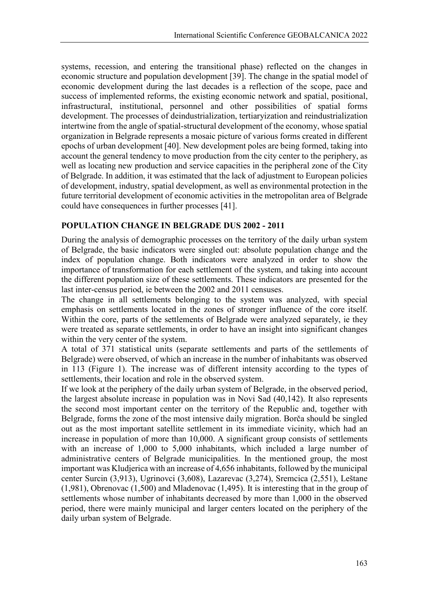systems, recession, and entering the transitional phase) reflected on the changes in economic structure and population development [39]. The change in the spatial model of economic development during the last decades is a reflection of the scope, pace and success of implemented reforms, the existing economic network and spatial, positional, infrastructural, institutional, personnel and other possibilities of spatial forms development. The processes of deindustrialization, tertiaryization and reindustrialization intertwine from the angle of spatial-structural development of the economy, whose spatial organization in Belgrade represents a mosaic picture of various forms created in different epochs of urban development [40]. New development poles are being formed, taking into account the general tendency to move production from the city center to the periphery, as well as locating new production and service capacities in the peripheral zone of the City of Belgrade. In addition, it was estimated that the lack of adjustment to European policies of development, industry, spatial development, as well as environmental protection in the future territorial development of economic activities in the metropolitan area of Belgrade could have consequences in further processes [41].

### **POPULATION CHANGE IN BELGRADE DUS 2002 - 2011**

During the analysis of demographic processes on the territory of the daily urban system of Belgrade, the basic indicators were singled out: absolute population change and the index of population change. Both indicators were analyzed in order to show the importance of transformation for each settlement of the system, and taking into account the different population size of these settlements. These indicators are presented for the last inter-census period, ie between the 2002 and 2011 censuses.

The change in all settlements belonging to the system was analyzed, with special emphasis on settlements located in the zones of stronger influence of the core itself. Within the core, parts of the settlements of Belgrade were analyzed separately, ie they were treated as separate settlements, in order to have an insight into significant changes within the very center of the system.

A total of 371 statistical units (separate settlements and parts of the settlements of Belgrade) were observed, of which an increase in the number of inhabitants was observed in 113 (Figure 1). The increase was of different intensity according to the types of settlements, their location and role in the observed system.

If we look at the periphery of the daily urban system of Belgrade, in the observed period, the largest absolute increase in population was in Novi Sad (40,142). It also represents the second most important center on the territory of the Republic and, together with Belgrade, forms the zone of the most intensive daily migration. Borča should be singled out as the most important satellite settlement in its immediate vicinity, which had an increase in population of more than 10,000. A significant group consists of settlements with an increase of 1,000 to 5,000 inhabitants, which included a large number of administrative centers of Belgrade municipalities. In the mentioned group, the most important was Kludjerica with an increase of 4,656 inhabitants, followed by the municipal center Surcin (3,913), Ugrinovci (3,608), Lazarevac (3,274), Sremcica (2,551), Leštane (1,981), Obrenovac (1,500) and Mladenovac (1,495). It is interesting that in the group of settlements whose number of inhabitants decreased by more than 1,000 in the observed period, there were mainly municipal and larger centers located on the periphery of the daily urban system of Belgrade.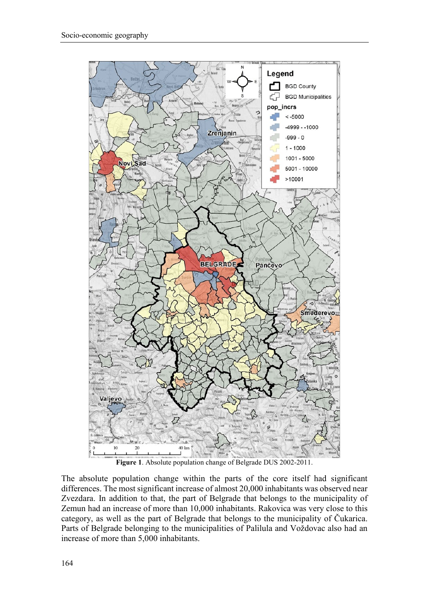

The absolute population change within the parts of the core itself had significant differences. The most significant increase of almost 20,000 inhabitants was observed near Zvezdara. In addition to that, the part of Belgrade that belongs to the municipality of Zemun had an increase of more than 10,000 inhabitants. Rakovica was very close to this category, as well as the part of Belgrade that belongs to the municipality of Čukarica. Parts of Belgrade belonging to the municipalities of Palilula and Voždovac also had an increase of more than 5,000 inhabitants.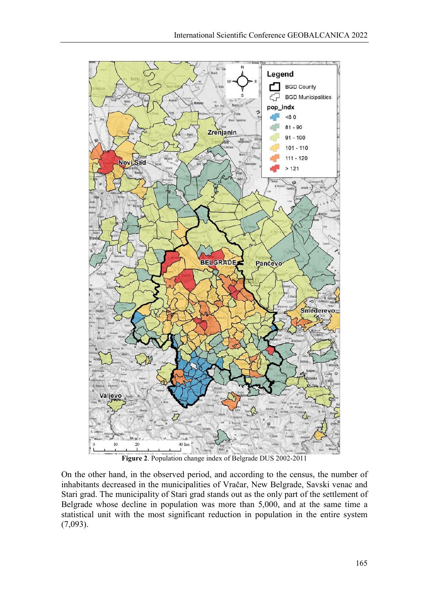



On the other hand, in the observed period, and according to the census, the number of inhabitants decreased in the municipalities of Vračar, New Belgrade, Savski venac and Stari grad. The municipality of Stari grad stands out as the only part of the settlement of Belgrade whose decline in population was more than 5,000, and at the same time a statistical unit with the most significant reduction in population in the entire system (7,093).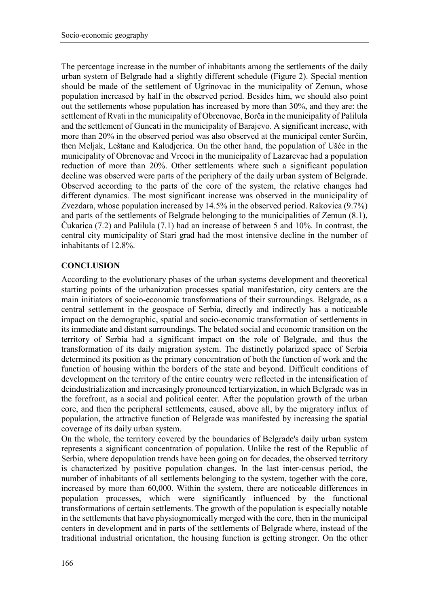The percentage increase in the number of inhabitants among the settlements of the daily urban system of Belgrade had a slightly different schedule (Figure 2). Special mention should be made of the settlement of Ugrinovac in the municipality of Zemun, whose population increased by half in the observed period. Besides him, we should also point out the settlements whose population has increased by more than 30%, and they are: the settlement of Rvati in the municipality of Obrenovac, Borča in the municipality of Palilula and the settlement of Guncati in the municipality of Barajevo. A significant increase, with more than 20% in the observed period was also observed at the municipal center Surčin, then Meljak, Leštane and Kaludjerica. On the other hand, the population of Ušće in the municipality of Obrenovac and Vreoci in the municipality of Lazarevac had a population reduction of more than 20%. Other settlements where such a significant population decline was observed were parts of the periphery of the daily urban system of Belgrade. Observed according to the parts of the core of the system, the relative changes had different dynamics. The most significant increase was observed in the municipality of Zvezdara, whose population increased by 14.5% in the observed period. Rakovica (9.7%) and parts of the settlements of Belgrade belonging to the municipalities of Zemun (8.1), Čukarica (7.2) and Palilula (7.1) had an increase of between 5 and 10%. In contrast, the central city municipality of Stari grad had the most intensive decline in the number of inhabitants of 12.8%.

### **CONCLUSION**

According to the evolutionary phases of the urban systems development and theoretical starting points of the urbanization processes spatial manifestation, city centers are the main initiators of socio-economic transformations of their surroundings. Belgrade, as a central settlement in the geospace of Serbia, directly and indirectly has a noticeable impact on the demographic, spatial and socio-economic transformation of settlements in its immediate and distant surroundings. The belated social and economic transition on the territory of Serbia had a significant impact on the role of Belgrade, and thus the transformation of its daily migration system. The distinctly polarized space of Serbia determined its position as the primary concentration of both the function of work and the function of housing within the borders of the state and beyond. Difficult conditions of development on the territory of the entire country were reflected in the intensification of deindustrialization and increasingly pronounced tertiaryization, in which Belgrade was in the forefront, as a social and political center. After the population growth of the urban core, and then the peripheral settlements, caused, above all, by the migratory influx of population, the attractive function of Belgrade was manifested by increasing the spatial coverage of its daily urban system.

On the whole, the territory covered by the boundaries of Belgrade's daily urban system represents a significant concentration of population. Unlike the rest of the Republic of Serbia, where depopulation trends have been going on for decades, the observed territory is characterized by positive population changes. In the last inter-census period, the number of inhabitants of all settlements belonging to the system, together with the core, increased by more than 60,000. Within the system, there are noticeable differences in population processes, which were significantly influenced by the functional transformations of certain settlements. The growth of the population is especially notable in the settlements that have physiognomically merged with the core, then in the municipal centers in development and in parts of the settlements of Belgrade where, instead of the traditional industrial orientation, the housing function is getting stronger. On the other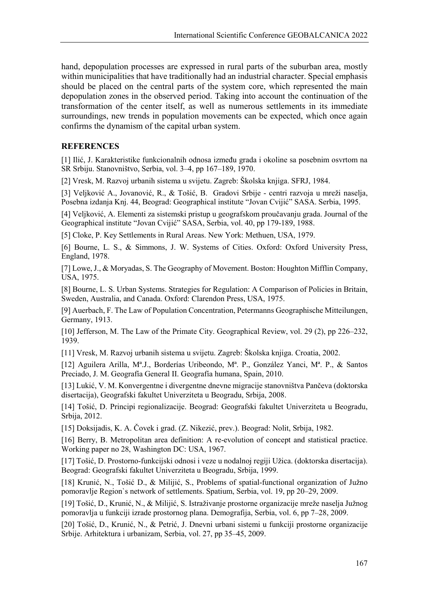hand, depopulation processes are expressed in rural parts of the suburban area, mostly within municipalities that have traditionally had an industrial character. Special emphasis should be placed on the central parts of the system core, which represented the main depopulation zones in the observed period. Taking into account the continuation of the transformation of the center itself, as well as numerous settlements in its immediate surroundings, new trends in population movements can be expected, which once again confirms the dynamism of the capital urban system.

#### **REFERENCES**

[1] Ilić, J. Karakteristike funkcionalnih odnosa između grada i okoline sa posebnim osvrtom na SR Srbiju. Stanovništvo, Serbia, vol. 3–4, pp 167–189, 1970.

[2] Vresk, M. Razvoj urbanih sistema u svijetu. Zagreb: Školska knjiga. SFRJ, 1984.

[3] Veljković A., Jovanović, R., & Tošić, B. Gradovi Srbije - centri razvoja u mreži naselja, Posebna izdanja Knj. 44, Beograd: Geographical institute "Jovan Cvijić" SASA. Serbia, 1995.

[4] Veljković, A. Elementi za sistemski pristup u geografskom proučavanju grada. Journal of the Geographical institute "Jovan Cvijić" SASA, Serbia, vol. 40, pp 179-189, 1988.

[5] Cloke, P. Key Settlements in Rural Areas. New York: Methuen, USA, 1979.

[6] Bourne, L. S., & Simmons, J. W. Systems of Cities. Oxford: Oxford University Press, England, 1978.

[7] Lowe, J., & Moryadas, S. The Geography of Movement. Boston: Houghton Mifflin Company, USA, 1975.

[8] Bourne, L. S. Urban Systems. Strategies for Regulation: A Comparison of Policies in Britain, Sweden, Australia, and Canada. Oxford: Clarendon Press, USA, 1975.

[9] Auerbach, F. The Law of Population Concentration, Petermanns Geographische Mitteilungen, Germany, 1913.

[10] Jefferson, M. The Law of the Primate City. Geographical Review, vol. 29 (2), pp 226–232, 1939.

[11] Vresk, M. Razvoj urbanih sistema u svijetu. Zagreb: Školska knjiga. Croatia, 2002.

[12] Aguilera Arilla, Mª.J., Borderías Uribeondo, Mª. P., González Yanci, Mª. P., & Santos Preciado, J. M. Geografía General II. Geografía humana, Spain, 2010.

[13] Lukić, V. M. Konvergentne i divergentne dnevne migracije stanovništva Pančeva (doktorska disertacija), Geografski fakultet Univerziteta u Beogradu, Srbija, 2008.

[14] Tošić, D. Principi regionalizacije. Beograd: Geografski fakultet Univerziteta u Beogradu, Srbija, 2012.

[15] Doksijadis, K. A. Čovek i grad. (Z. Nikezić, prev.). Beograd: Nolit, Srbija, 1982.

[16] Berry, B. Metropolitan area definition: A re-evolution of concept and statistical practice. Working paper no 28, Washington DC: USA, 1967.

[17] Tošić, D. Prostorno-funkcijski odnosi i veze u nodalnoj regiji Užica. (doktorska disertacija). Beograd: Geografski fakultet Univerziteta u Beogradu, Srbija, 1999.

[18] Krunić, N., Tošić D., & Milijić, S., Problems of spatial-functional organization of Južno pomoravlje Region`s network of settlements. Spatium, Serbia, vol. 19, pp 20–29, 2009.

[19] Tošić, D., Krunić, N., & Milijić, S. Istraživanje prostorne organizacije mreže naselja Južnog pomoravlja u funkciji izrade prostornog plana. Demografija, Serbia, vol. 6, pp 7–28, 2009.

[20] Tošić, D., Krunić, N., & Petrić, J. Dnevni urbani sistemi u funkciji prostorne organizacije Srbije. Arhitektura i urbanizam, Serbia, vol. 27, pp 35–45, 2009.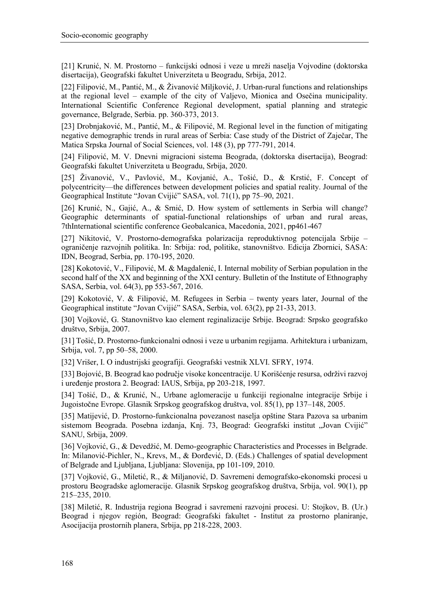[21] Krunić, N. M. Prostorno – funkcijski odnosi i veze u mreži naselja Vojvodine (doktorska disertacija), Geografski fakultet Univerziteta u Beogradu, Srbija, 2012.

[22] Filipović, M., Pantić, M., & Živanović Miljković, J. Urban-rural functions and relationships at the regional level – example of the city of Valjevo, Mionica and Osečina municipality. International Scientific Conference Regional development, spatial planning and strategic governance, Belgrade, Serbia. pp. 360-373, 2013.

[23] Drobnjaković, M., Pantić, M., & Filipović, M. Regional level in the function of mitigating negative demographic trends in rural areas of Serbia: Case study of the District of Zaječar, The Matica Srpska Journal of Social Sciences, vol. 148 (3), pp 777-791, 2014.

[24] Filipović, M. V. Dnevni migracioni sistema Beograda, (doktorska disertacija), Beograd: Geografski fakultet Univerziteta u Beogradu, Srbija, 2020.

[25] Živanović, V., Pavlović, M., Kovjanić, A., Tošić, D., & Krstić, F. Concept of polycentricity—the differences between development policies and spatial reality. Journal of the Geographical Institute "Jovan Cvijić" SASA, vol. 71(1), pp 75–90, 2021.

[26] Krunić, N., Gajić, A., & Srnić, D. How system of settlements in Serbia will change? Geographic determinants of spatial-functional relationships of urban and rural areas, 7thInternational scientific conference Geobalcanica, Macedonia, 2021, pp461-467

[27] Nikitović, V. Prostorno-demografska polarizacija reproduktivnog potencijala Srbije – ograničenje razvojnih politika. In: Srbija: rod, politike, stanovništvo. Edicija Zbornici, SASA: IDN, Beograd, Serbia, pp. 170-195, 2020.

[28] Kokotović, V., Filipović, M. & Magdalenić, I. Internal mobility of Serbian population in the second half of the XX and beginning of the XXI century. Bulletin of the Institute of Ethnography SASA, Serbia, vol. 64(3), pp 553-567, 2016.

[29] Kokotović, V. & Filipović, M. Refugees in Serbia – twenty years later, Journal of the Geographical institute "Jovan Cvijić" SASA, Serbia, vol. 63(2), pp 21-33, 2013.

[30] Vojković, G. Stanovništvo kao element reginalizacije Srbije. Beograd: Srpsko geografsko društvo, Srbija, 2007.

[31] Tošić, D. Prostorno-funkcionalni odnosi i veze u urbanim regijama. Arhitektura i urbanizam, Srbija, vol. 7, pp 50–58, 2000.

[32] Vrišer, I. O industrijski geografiji. Geografski vestnik XLVI. SFRY, 1974.

[33] Bojović, B. Beograd kao područje visoke koncentracije. U Korišćenje resursa, održivi razvoj i uređenje prostora 2. Beograd: IAUS, Srbija, pp 203-218, 1997.

[34] Tošić, D., & Krunić, N., Urbane aglomeracije u funkciji regionalne integracije Srbije i Jugoistočne Evrope. Glasnik Srpskog geografskog društva, vol. 85(1), pp 137–148, 2005.

[35] Matijević, D. Prostorno-funkcionalna povezanost naselja opštine Stara Pazova sa urbanim sistemom Beograda. Posebna izdanja, Knj. 73, Beograd: Geografski institut "Jovan Cvijić" SANU, Srbija, 2009.

[36] Vojković, G., & Devedžić, M. Demo-geographic Characteristics and Processes in Belgrade. In: Milanović-Pichler, N., Krevs, M., & Đorđević, D. (Eds.) Challenges of spatial development of Belgrade and Ljubljana, Ljubljana: Slovenija, pp 101-109, 2010.

[37] Vojković, G., Miletić, R., & Miljanović, D. Savremeni demografsko-ekonomski procesi u prostoru Beogradske aglomeracije. Glasnik Srpskog geografskog društva, Srbija, vol. 90(1), pp 215–235, 2010.

[38] Miletić, R. Industrija regiona Beograd i savremeni razvojni procesi. U: Stojkov, B. (Ur.) Beograd i njegov región, Beograd: Geografski fakultet - Institut za prostorno planiranje, Asocijacija prostornih planera, Srbija, pp 218-228, 2003.